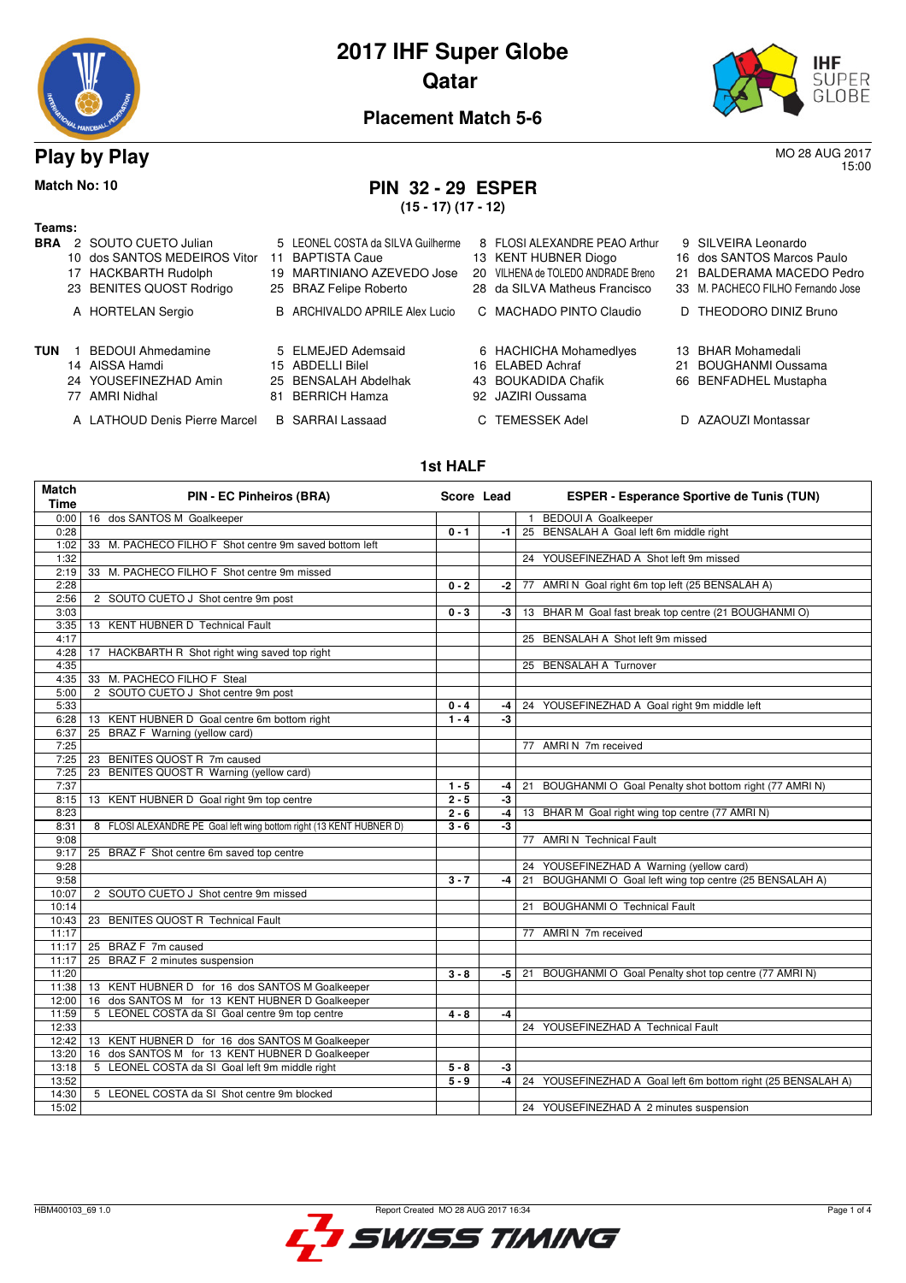



15:00

#### **Placement Match 5-6**

**Play by Play** MO 28 AUG 2017

## **Match No: 10 PIN 32 - 29 ESPER**

**(15 - 17) (17 - 12)**

| Teams:     |    |                               |    |                                   |                                    |     |                                   |
|------------|----|-------------------------------|----|-----------------------------------|------------------------------------|-----|-----------------------------------|
| <b>BRA</b> |    | 2 SOUTO CUETO Julian          |    | 5 LEONEL COSTA da SILVA Guilherme | 8 FLOSI ALEXANDRE PEAO Arthur      |     | 9 SILVEIRA Leonardo               |
|            |    | 10 dos SANTOS MEDEIROS Vitor  | 11 | <b>BAPTISTA Caue</b>              | 13 KENT HUBNER Diogo               |     | 16 dos SANTOS Marcos Paulo        |
|            |    | 17 HACKBARTH Rudolph          |    | 19 MARTINIANO AZEVEDO Jose        | 20 VILHENA de TOLEDO ANDRADE Breno | 21. | BALDERAMA MACEDO Pedro            |
|            |    | 23 BENITES QUOST Rodrigo      |    | 25 BRAZ Felipe Roberto            | 28 da SILVA Matheus Francisco      |     | 33 M. PACHECO FILHO Fernando Jose |
|            |    | A HORTELAN Sergio             |    | B ARCHIVALDO APRILE Alex Lucio    | C MACHADO PINTO Claudio            |     | D THEODORO DINIZ Bruno            |
| <b>TUN</b> |    | <b>BEDOUI Ahmedamine</b>      |    | 5 ELMEJED Ademsaid                | 6 HACHICHA Mohamedlyes             |     | 13 BHAR Mohamedali                |
|            |    | 14 AISSA Hamdi                |    | 15 ABDELLI Bilel                  | 16 ELABED Achraf                   | 21  | <b>BOUGHANMI Oussama</b>          |
|            |    | 24 YOUSEFINEZHAD Amin         |    | 25 BENSALAH Abdelhak              | 43 BOUKADIDA Chafik                |     | 66 BENFADHEL Mustapha             |
|            | 77 | AMRI Nidhal                   | 81 | <b>BERRICH Hamza</b>              | 92 JAZIRI Oussama                  |     |                                   |
|            |    | A LATHOUD Denis Pierre Marcel |    | <b>B</b> SARRAI Lassaad           | TEMESSEK Adel                      |     | D AZAOUZI Montassar               |

#### **1st HALF**

| <b>Match</b><br><b>Time</b> | PIN - EC Pinheiros (BRA)                                            | Score Lead |      | <b>ESPER - Esperance Sportive de Tunis (TUN)</b>             |
|-----------------------------|---------------------------------------------------------------------|------------|------|--------------------------------------------------------------|
| 0:00                        | 16 dos SANTOS M Goalkeeper                                          |            |      | 1 BEDOUI A Goalkeeper                                        |
| 0:28                        |                                                                     | $0 - 1$    | -1.  | 25 BENSALAH A Goal left 6m middle right                      |
| 1:02                        | 33 M. PACHECO FILHO F Shot centre 9m saved bottom left              |            |      |                                                              |
| 1:32                        |                                                                     |            |      | 24 YOUSEFINEZHAD A Shot left 9m missed                       |
| 2:19                        | 33 M. PACHECO FILHO F Shot centre 9m missed                         |            |      |                                                              |
| 2:28                        |                                                                     | $0 - 2$    | -2   | 77 AMRI N Goal right 6m top left (25 BENSALAH A)             |
| 2:56                        | 2 SOUTO CUETO J Shot centre 9m post                                 |            |      |                                                              |
| 3:03                        |                                                                     | $0 - 3$    | -3   | 13 BHAR M Goal fast break top centre (21 BOUGHANMI O)        |
| 3:35                        | 13 KENT HUBNER D Technical Fault                                    |            |      |                                                              |
| 4:17                        |                                                                     |            |      | 25 BENSALAH A Shot left 9m missed                            |
| 4:28                        | 17 HACKBARTH R Shot right wing saved top right                      |            |      |                                                              |
| 4:35                        |                                                                     |            |      | 25 BENSALAH A Turnover                                       |
| 4:35                        | 33 M. PACHECO FILHO F Steal                                         |            |      |                                                              |
| 5:00                        | 2 SOUTO CUETO J Shot centre 9m post                                 |            |      |                                                              |
| 5:33                        |                                                                     | $0 - 4$    | -4   | 24 YOUSEFINEZHAD A Goal right 9m middle left                 |
| 6:28                        | 13 KENT HUBNER D Goal centre 6m bottom right                        | $1 - 4$    | -3   |                                                              |
| 6:37                        | BRAZ F Warning (yellow card)<br>25                                  |            |      |                                                              |
| 7:25                        |                                                                     |            |      | 77 AMRIN 7m received                                         |
| 7:25                        | BENITES QUOST R 7m caused<br>23                                     |            |      |                                                              |
| 7:25                        | BENITES QUOST R Warning (yellow card)<br>23                         |            |      |                                                              |
| 7:37                        |                                                                     | $1 - 5$    | -4   | 21 BOUGHANMI O Goal Penalty shot bottom right (77 AMRI N)    |
| 8:15                        | 13 KENT HUBNER D Goal right 9m top centre                           | $2 - 5$    | $-3$ |                                                              |
| 8:23                        |                                                                     | $2 - 6$    | -4   | 13 BHAR M Goal right wing top centre (77 AMRI N)             |
| 8:31                        | 8 FLOSI ALEXANDRE PE Goal left wing bottom right (13 KENT HUBNER D) | $3 - 6$    | $-3$ |                                                              |
| 9:08                        |                                                                     |            |      | 77 AMRI N Technical Fault                                    |
| 9:17                        | 25 BRAZ F Shot centre 6m saved top centre                           |            |      |                                                              |
| 9:28                        |                                                                     |            |      | 24 YOUSEFINEZHAD A Warning (yellow card)                     |
| 9:58                        |                                                                     | $3 - 7$    | -4   | 21 BOUGHANMI O Goal left wing top centre (25 BENSALAH A)     |
| 10:07                       | 2 SOUTO CUETO J Shot centre 9m missed                               |            |      |                                                              |
| 10:14                       |                                                                     |            |      | 21 BOUGHANMI O Technical Fault                               |
| 10:43                       | 23 BENITES QUOST R Technical Fault                                  |            |      |                                                              |
| 11:17                       |                                                                     |            |      | 77 AMRIN 7m received                                         |
| 11:17                       | 25 BRAZ F 7m caused                                                 |            |      |                                                              |
| 11:17                       | 25 BRAZ F 2 minutes suspension                                      |            |      |                                                              |
| 11:20                       |                                                                     | $3 - 8$    | -5   | 21 BOUGHANMI O Goal Penalty shot top centre (77 AMRI N)      |
| 11:38                       | 13 KENT HUBNER D for 16 dos SANTOS M Goalkeeper                     |            |      |                                                              |
| 12:00                       | 16 dos SANTOS M for 13 KENT HUBNER D Goalkeeper                     |            |      |                                                              |
| 11:59                       | 5 LEONEL COSTA da SI Goal centre 9m top centre                      | $4 - 8$    | $-4$ |                                                              |
| 12:33                       |                                                                     |            |      | 24 YOUSEFINEZHAD A Technical Fault                           |
| 12:42                       | 13 KENT HUBNER D for 16 dos SANTOS M Goalkeeper                     |            |      |                                                              |
| 13:20                       | 16 dos SANTOS M for 13 KENT HUBNER D Goalkeeper                     |            |      |                                                              |
| 13:18                       | 5 LEONEL COSTA da SI Goal left 9m middle right                      | $5 - 8$    | $-3$ |                                                              |
| 13:52                       |                                                                     | $5 - 9$    | $-4$ | 24 YOUSEFINEZHAD A Goal left 6m bottom right (25 BENSALAH A) |
| 14:30                       | 5 LEONEL COSTA da SI Shot centre 9m blocked                         |            |      |                                                              |
| 15:02                       |                                                                     |            |      | 24 YOUSEFINEZHAD A 2 minutes suspension                      |

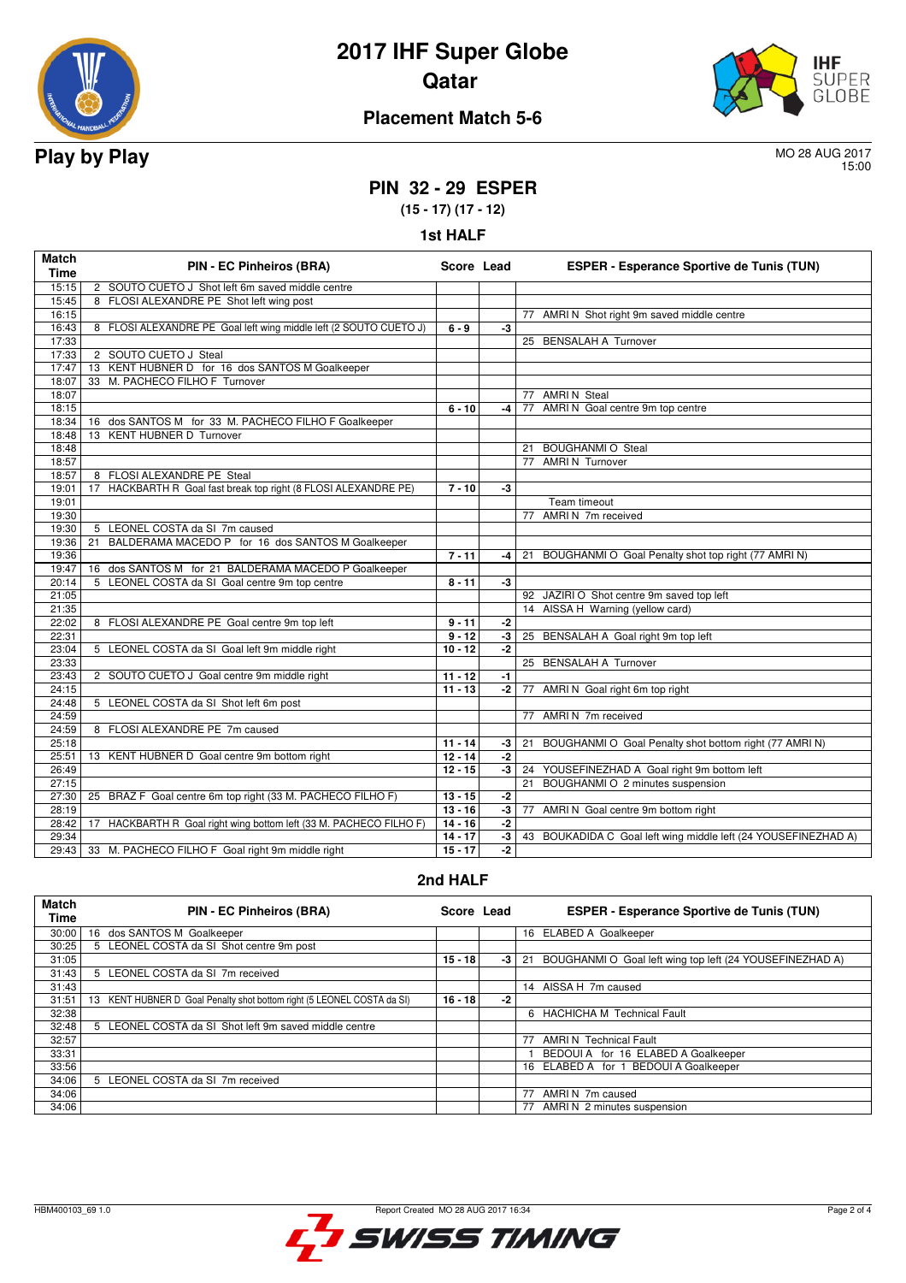



## **Placement Match 5-6**

15:00

## **PIN 32 - 29 ESPER**

**(15 - 17) (17 - 12)**

| <b>1st HALF</b> |  |  |
|-----------------|--|--|
|-----------------|--|--|

| <b>Match</b><br><b>Time</b> | <b>PIN - EC Pinheiros (BRA)</b>                                    | Score Lead |                      | <b>ESPER - Esperance Sportive de Tunis (TUN)</b>               |
|-----------------------------|--------------------------------------------------------------------|------------|----------------------|----------------------------------------------------------------|
| 15:15                       | 2 SOUTO CUETO J Shot left 6m saved middle centre                   |            |                      |                                                                |
| 15:45                       | 8 FLOSI ALEXANDRE PE Shot left wing post                           |            |                      |                                                                |
| 16:15                       |                                                                    |            |                      | 77 AMRI N Shot right 9m saved middle centre                    |
| 16:43                       | 8 FLOSI ALEXANDRE PE Goal left wing middle left (2 SOUTO CUETO J)  | $6 - 9$    | -3                   |                                                                |
| 17:33                       |                                                                    |            |                      | 25 BENSALAH A Turnover                                         |
| 17:33                       | 2 SOUTO CUETO J Steal                                              |            |                      |                                                                |
| 17:47                       | 13 KENT HUBNER D for 16 dos SANTOS M Goalkeeper                    |            |                      |                                                                |
| 18:07                       | 33 M. PACHECO FILHO F Turnover                                     |            |                      |                                                                |
| 18:07                       |                                                                    |            |                      | 77 AMRIN Steal                                                 |
| 18:15                       |                                                                    | $6 - 10$   | $-4$                 | 77 AMRI N Goal centre 9m top centre                            |
| 18:34                       | 16 dos SANTOS M for 33 M. PACHECO FILHO F Goalkeeper               |            |                      |                                                                |
| 18:48                       | 13 KENT HUBNER D Turnover                                          |            |                      |                                                                |
| 18:48                       |                                                                    |            |                      | 21 BOUGHANMI O Steal                                           |
| 18:57                       |                                                                    |            |                      | 77 AMRIN Turnover                                              |
| 18:57                       | 8 FLOSI ALEXANDRE PE Steal                                         |            |                      |                                                                |
| 19:01                       | HACKBARTH R Goal fast break top right (8 FLOSI ALEXANDRE PE)<br>17 | $7 - 10$   | -3                   |                                                                |
| 19:01                       |                                                                    |            |                      | <b>Team timeout</b>                                            |
| 19:30                       |                                                                    |            |                      | 77 AMRIN 7m received                                           |
| 19:30                       | 5 LEONEL COSTA da SI 7m caused                                     |            |                      |                                                                |
| 19:36                       | BALDERAMA MACEDO P for 16 dos SANTOS M Goalkeeper<br>21            |            |                      |                                                                |
| 19:36                       |                                                                    | $7 - 11$   | -4                   | BOUGHANMI O Goal Penalty shot top right (77 AMRI N)<br>21      |
| 19:47                       | 16 dos SANTOS M for 21 BALDERAMA MACEDO P Goalkeeper               |            |                      |                                                                |
| 20:14                       | 5 LEONEL COSTA da SI Goal centre 9m top centre                     | $8 - 11$   | $-3$                 |                                                                |
| 21:05                       |                                                                    |            |                      | 92 JAZIRI O Shot centre 9m saved top left                      |
| 21:35                       |                                                                    |            |                      | 14 AISSA H Warning (yellow card)                               |
| 22:02                       | 8 FLOSI ALEXANDRE PE Goal centre 9m top left                       | $9 - 11$   | -2                   |                                                                |
| 22:31                       |                                                                    | $9 - 12$   | $-3$                 | 25 BENSALAH A Goal right 9m top left                           |
| 23:04                       | 5 LEONEL COSTA da SI Goal left 9m middle right                     | $10 - 12$  | $-2$                 |                                                                |
| 23:33                       |                                                                    |            |                      | 25 BENSALAH A Turnover                                         |
| 23:43                       | 2 SOUTO CUETO J Goal centre 9m middle right                        | $11 - 12$  | $-1$                 |                                                                |
| 24:15                       |                                                                    | $11 - 13$  | -2                   | 77 AMRI N Goal right 6m top right                              |
| 24:48                       | 5 LEONEL COSTA da SI Shot left 6m post                             |            |                      |                                                                |
| 24:59                       |                                                                    |            |                      | 77 AMRIN 7m received                                           |
| 24:59                       | 8 FLOSI ALEXANDRE PE 7m caused                                     |            |                      |                                                                |
| 25:18                       |                                                                    | $11 - 14$  | $-3$                 | BOUGHANMI O Goal Penalty shot bottom right (77 AMRI N)<br>21   |
| 25:51                       | 13 KENT HUBNER D Goal centre 9m bottom right                       | $12 - 14$  | $-2$                 |                                                                |
| 26:49                       |                                                                    | $12 - 15$  | -3                   | YOUSEFINEZHAD A Goal right 9m bottom left<br>24                |
| 27:15                       |                                                                    |            |                      | 21 BOUGHANMI O 2 minutes suspension                            |
| 27:30                       | 25 BRAZ F Goal centre 6m top right (33 M. PACHECO FILHO F)         | $13 - 15$  | $-2$                 |                                                                |
| 28:19                       |                                                                    | $13 - 16$  | -3                   | 77 AMRI N Goal centre 9m bottom right                          |
| 28:42                       | 17 HACKBARTH R Goal right wing bottom left (33 M. PACHECO FILHO F) | $14 - 16$  | $-2$                 |                                                                |
| 29:34                       |                                                                    | $14 - 17$  | $\overline{\cdot 3}$ | 43 BOUKADIDA C Goal left wing middle left (24 YOUSEFINEZHAD A) |
| 29:43                       | 33 M. PACHECO FILHO F Goal right 9m middle right                   | $15 - 17$  | $-2$                 |                                                                |

#### **2nd HALF**

| <b>Match</b><br><b>Time</b> | <b>PIN - EC Pinheiros (BRA)</b>                                           | Score Lead |      | <b>ESPER - Esperance Sportive de Tunis (TUN)</b>               |
|-----------------------------|---------------------------------------------------------------------------|------------|------|----------------------------------------------------------------|
| 30:00                       | 16 dos SANTOS M Goalkeeper                                                |            |      | 16 ELABED A Goalkeeper                                         |
| 30:25                       | 5 LEONEL COSTA da SI Shot centre 9m post                                  |            |      |                                                                |
| 31:05                       |                                                                           | $15 - 18$  | $-3$ | BOUGHANMI O Goal left wing top left (24 YOUSEFINEZHAD A)<br>21 |
| 31:43                       | 5 LEONEL COSTA da SI 7m received                                          |            |      |                                                                |
| 31:43                       |                                                                           |            |      | 14 AISSA H 7m caused                                           |
| 31:51                       | KENT HUBNER D Goal Penalty shot bottom right (5 LEONEL COSTA da SI)<br>13 | $16 - 18$  | -2   |                                                                |
| 32:38                       |                                                                           |            |      | 6 HACHICHA M Technical Fault                                   |
| 32:48                       | 5 LEONEL COSTA da SI Shot left 9m saved middle centre                     |            |      |                                                                |
| 32:57                       |                                                                           |            |      | 77 AMRI N Technical Fault                                      |
| 33:31                       |                                                                           |            |      | BEDOUI A for 16 ELABED A Goalkeeper                            |
| 33:56                       |                                                                           |            |      | 16 ELABED A for 1 BEDOUI A Goalkeeper                          |
| 34:06                       | 5 LEONEL COSTA da SI 7m received                                          |            |      |                                                                |
| 34:06                       |                                                                           |            |      | 77<br>AMRI N 7m caused                                         |
| 34:06                       |                                                                           |            |      | 77 AMRI N 2 minutes suspension                                 |

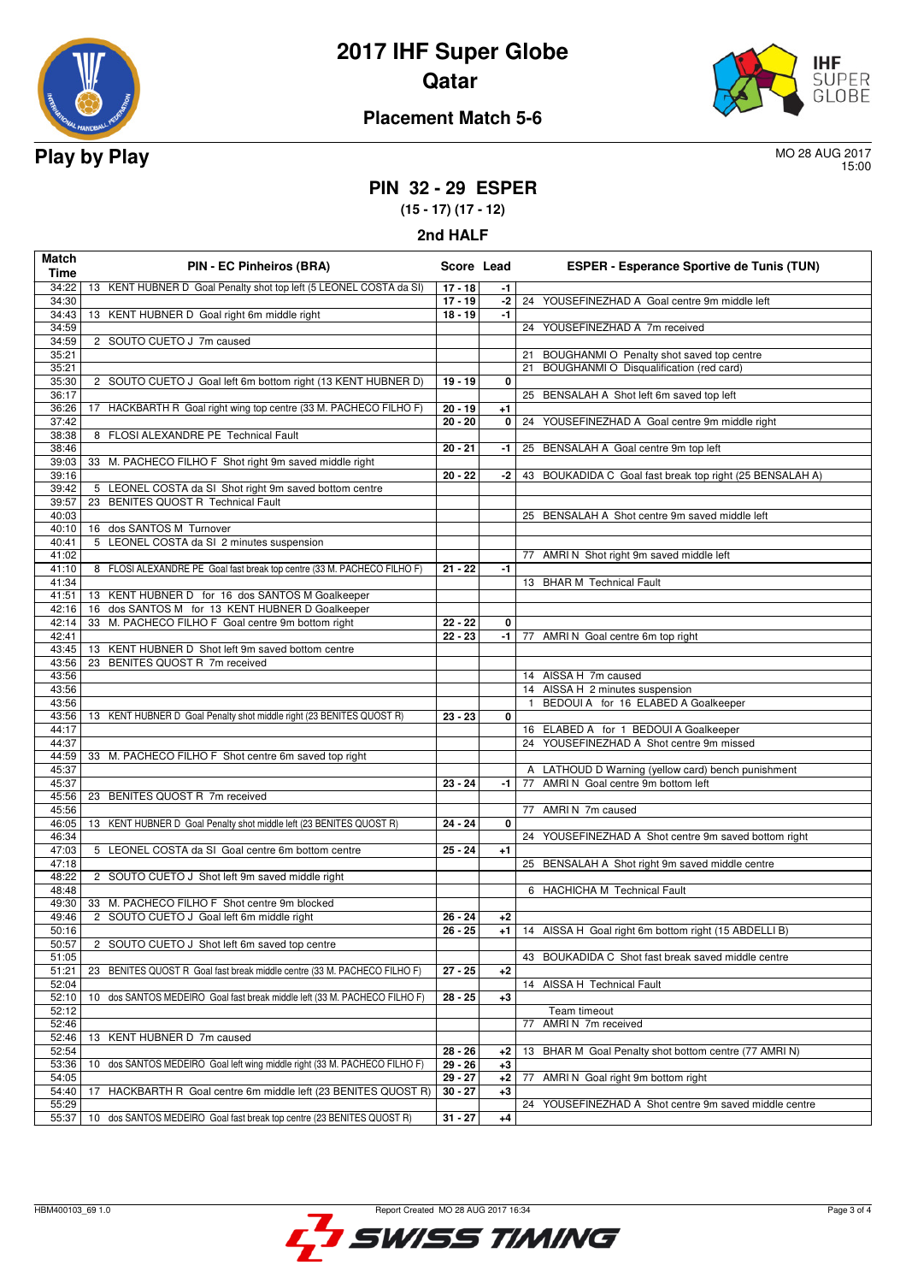



## **Placement Match 5-6**

15:00

## **PIN 32 - 29 ESPER**

**(15 - 17) (17 - 12)**

**2nd HALF**

| Match<br>Time  | <b>PIN - EC Pinheiros (BRA)</b>                                              | Score Lead |      | <b>ESPER - Esperance Sportive de Tunis (TUN)</b>                                        |
|----------------|------------------------------------------------------------------------------|------------|------|-----------------------------------------------------------------------------------------|
| 34:22          | 13 KENT HUBNER D Goal Penalty shot top left (5 LEONEL COSTA da SI)           | $17 - 18$  | -1   |                                                                                         |
| 34:30          |                                                                              | $17 - 19$  | $-2$ | 24 YOUSEFINEZHAD A Goal centre 9m middle left                                           |
| 34:43          | 13 KENT HUBNER D Goal right 6m middle right                                  | $18 - 19$  | $-1$ |                                                                                         |
| 34:59          |                                                                              |            |      | 24 YOUSEFINEZHAD A 7m received                                                          |
| 34:59          | 2 SOUTO CUETO J 7m caused                                                    |            |      |                                                                                         |
| 35:21          |                                                                              |            |      | BOUGHANMI O Penalty shot saved top centre<br>21                                         |
| 35:21          |                                                                              |            |      | BOUGHANMI O Disqualification (red card)<br>21                                           |
| 35:30          | 2 SOUTO CUETO J Goal left 6m bottom right (13 KENT HUBNER D)                 | $19 - 19$  | 0    |                                                                                         |
| 36:17          |                                                                              |            |      | 25 BENSALAH A Shot left 6m saved top left                                               |
| 36:26          | 17 HACKBARTH R Goal right wing top centre (33 M. PACHECO FILHO F)            | $20 - 19$  | $+1$ |                                                                                         |
| 37:42          |                                                                              | $20 - 20$  | 0    | YOUSEFINEZHAD A Goal centre 9m middle right<br>24                                       |
| 38:38          | 8 FLOSI ALEXANDRE PE Technical Fault                                         |            |      |                                                                                         |
| 38:46          |                                                                              | $20 - 21$  | -1   | 25 BENSALAH A Goal centre 9m top left                                                   |
| 39:03          | 33 M. PACHECO FILHO F Shot right 9m saved middle right                       |            |      |                                                                                         |
| 39:16          |                                                                              | $20 - 22$  | -2   | BOUKADIDA C Goal fast break top right (25 BENSALAH A)<br>43                             |
| 39:42          | 5 LEONEL COSTA da SI Shot right 9m saved bottom centre                       |            |      |                                                                                         |
| 39:57          | 23 BENITES QUOST R Technical Fault                                           |            |      |                                                                                         |
| 40:03          |                                                                              |            |      | 25 BENSALAH A Shot centre 9m saved middle left                                          |
| 40:10          | 16 dos SANTOS M Turnover                                                     |            |      |                                                                                         |
| 40:41          | 5 LEONEL COSTA da SI 2 minutes suspension                                    |            |      |                                                                                         |
| 41:02          |                                                                              |            |      | 77 AMRI N Shot right 9m saved middle left                                               |
| 41:10          | 8 FLOSI ALEXANDRE PE Goal fast break top centre (33 M. PACHECO FILHO F)      | $21 - 22$  | -1   |                                                                                         |
| 41:34          |                                                                              |            |      | 13 BHAR M Technical Fault                                                               |
| 41:51          |                                                                              |            |      |                                                                                         |
|                | 13 KENT HUBNER D for 16 dos SANTOS M Goalkeeper                              |            |      |                                                                                         |
| 42:16          | 16 dos SANTOS M for 13 KENT HUBNER D Goalkeeper                              |            |      |                                                                                         |
| 42:14          | M. PACHECO FILHO F Goal centre 9m bottom right<br>33                         | $22 - 22$  | 0    |                                                                                         |
| 42:41          | 13 KENT HUBNER D Shot left 9m saved bottom centre                            | $22 - 23$  | -1   | 77 AMRI N Goal centre 6m top right                                                      |
| 43:45          |                                                                              |            |      |                                                                                         |
| 43:56          | BENITES QUOST R 7m received<br>23                                            |            |      |                                                                                         |
| 43:56          |                                                                              |            |      | 14 AISSA H 7m caused                                                                    |
| 43:56          |                                                                              |            |      | 14 AISSA H 2 minutes suspension                                                         |
| 43:56          |                                                                              |            |      | BEDOUI A for 16 ELABED A Goalkeeper<br>$\mathbf{1}$                                     |
| 43:56          | 13 KENT HUBNER D Goal Penalty shot middle right (23 BENITES QUOST R)         | $23 - 23$  | 0    |                                                                                         |
| 44:17<br>44:37 |                                                                              |            |      | 16 ELABED A for 1 BEDOUI A Goalkeeper<br>24 YOUSEFINEZHAD A Shot centre 9m missed       |
|                |                                                                              |            |      |                                                                                         |
| 44:59          | 33 M. PACHECO FILHO F Shot centre 6m saved top right                         |            |      |                                                                                         |
| 45:37          |                                                                              |            |      | A LATHOUD D Warning (yellow card) bench punishment<br>AMRI N Goal centre 9m bottom left |
| 45:37          |                                                                              | $23 - 24$  | -1   | 77                                                                                      |
| 45:56          | 23 BENITES QUOST R 7m received                                               |            |      |                                                                                         |
| 45:56          |                                                                              |            |      | 77 AMRIN 7m caused                                                                      |
| 46:05          | 13 KENT HUBNER D Goal Penalty shot middle left (23 BENITES QUOST R)          | $24 - 24$  | 0    |                                                                                         |
| 46:34          |                                                                              |            |      | 24 YOUSEFINEZHAD A Shot centre 9m saved bottom right                                    |
| 47:03          | 5 LEONEL COSTA da SI Goal centre 6m bottom centre                            | $25 - 24$  | $+1$ |                                                                                         |
| 47:18          |                                                                              |            |      | 25 BENSALAH A Shot right 9m saved middle centre                                         |
| 48:22          | 2 SOUTO CUETO J Shot left 9m saved middle right                              |            |      |                                                                                         |
| 48:48          |                                                                              |            |      | 6 HACHICHA M Technical Fault                                                            |
| 49:30          | 33 M. PACHECO FILHO F Shot centre 9m blocked                                 |            |      |                                                                                         |
| 49:46          | 2 SOUTO CUETO J Goal left 6m middle right                                    | $26 - 24$  | $+2$ |                                                                                         |
| 50:16          |                                                                              | $26 - 25$  |      | +1   14 AISSA H Goal right 6m bottom right (15 ABDELLI B)                               |
| 50:57          | 2 SOUTO CUETO J Shot left 6m saved top centre                                |            |      |                                                                                         |
| 51:05          |                                                                              |            |      | BOUKADIDA C Shot fast break saved middle centre<br>43                                   |
| 51:21          | 23<br>BENITES QUOST R Goal fast break middle centre (33 M. PACHECO FILHO F)  | $27 - 25$  | $+2$ |                                                                                         |
| 52:04          |                                                                              |            |      | 14 AISSA H Technical Fault                                                              |
| 52:10          | dos SANTOS MEDEIRO Goal fast break middle left (33 M. PACHECO FILHO F)<br>10 | $28 - 25$  | $+3$ |                                                                                         |
| 52:12          |                                                                              |            |      | Team timeout                                                                            |
| 52:46          |                                                                              |            |      | AMRI N 7m received<br>77                                                                |
| 52:46          | 13 KENT HUBNER D 7m caused                                                   |            |      |                                                                                         |
| 52:54          |                                                                              | $28 - 26$  | $+2$ | BHAR M Goal Penalty shot bottom centre (77 AMRI N)<br>13                                |
| 53:36          | dos SANTOS MEDEIRO Goal left wing middle right (33 M. PACHECO FILHO F)<br>10 | $29 - 26$  | $+3$ |                                                                                         |
| 54:05          |                                                                              | $29 - 27$  | $+2$ | AMRI N Goal right 9m bottom right<br>77                                                 |
| 54:40          | HACKBARTH R Goal centre 6m middle left (23 BENITES QUOST R)<br>17            | $30 - 27$  | $+3$ |                                                                                         |
| 55:29          |                                                                              |            |      | 24 YOUSEFINEZHAD A Shot centre 9m saved middle centre                                   |
| 55:37          | 10 dos SANTOS MEDEIRO Goal fast break top centre (23 BENITES QUOST R)        | $31 - 27$  | $+4$ |                                                                                         |